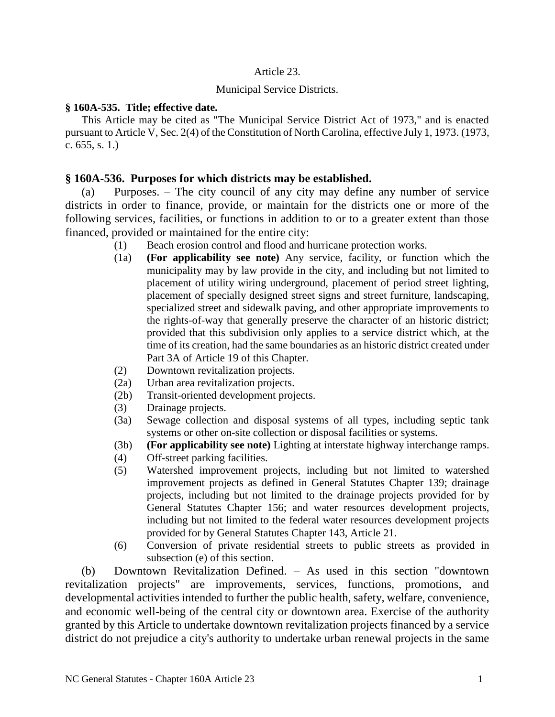## Article 23.

### Municipal Service Districts.

## **§ 160A-535. Title; effective date.**

This Article may be cited as "The Municipal Service District Act of 1973," and is enacted pursuant to Article V, Sec. 2(4) of the Constitution of North Carolina, effective July 1, 1973. (1973, c. 655, s. 1.)

# **§ 160A-536. Purposes for which districts may be established.**

(a) Purposes. – The city council of any city may define any number of service districts in order to finance, provide, or maintain for the districts one or more of the following services, facilities, or functions in addition to or to a greater extent than those financed, provided or maintained for the entire city:

- (1) Beach erosion control and flood and hurricane protection works.
- (1a) **(For applicability see note)** Any service, facility, or function which the municipality may by law provide in the city, and including but not limited to placement of utility wiring underground, placement of period street lighting, placement of specially designed street signs and street furniture, landscaping, specialized street and sidewalk paving, and other appropriate improvements to the rights-of-way that generally preserve the character of an historic district; provided that this subdivision only applies to a service district which, at the time of its creation, had the same boundaries as an historic district created under Part 3A of Article 19 of this Chapter.
- (2) Downtown revitalization projects.
- (2a) Urban area revitalization projects.
- (2b) Transit-oriented development projects.
- (3) Drainage projects.
- (3a) Sewage collection and disposal systems of all types, including septic tank systems or other on-site collection or disposal facilities or systems.
- (3b) **(For applicability see note)** Lighting at interstate highway interchange ramps.
- (4) Off-street parking facilities.
- (5) Watershed improvement projects, including but not limited to watershed improvement projects as defined in General Statutes Chapter 139; drainage projects, including but not limited to the drainage projects provided for by General Statutes Chapter 156; and water resources development projects, including but not limited to the federal water resources development projects provided for by General Statutes Chapter 143, Article 21.
- (6) Conversion of private residential streets to public streets as provided in subsection (e) of this section.

(b) Downtown Revitalization Defined. – As used in this section "downtown revitalization projects" are improvements, services, functions, promotions, and developmental activities intended to further the public health, safety, welfare, convenience, and economic well-being of the central city or downtown area. Exercise of the authority granted by this Article to undertake downtown revitalization projects financed by a service district do not prejudice a city's authority to undertake urban renewal projects in the same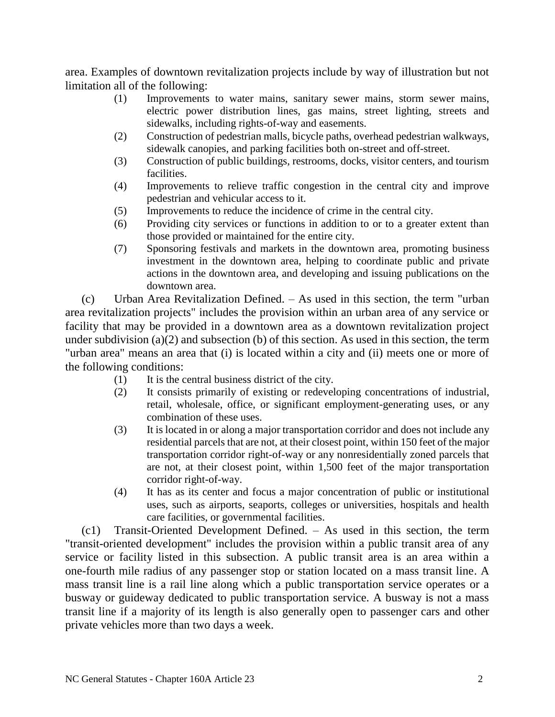area. Examples of downtown revitalization projects include by way of illustration but not limitation all of the following:

- (1) Improvements to water mains, sanitary sewer mains, storm sewer mains, electric power distribution lines, gas mains, street lighting, streets and sidewalks, including rights-of-way and easements.
- (2) Construction of pedestrian malls, bicycle paths, overhead pedestrian walkways, sidewalk canopies, and parking facilities both on-street and off-street.
- (3) Construction of public buildings, restrooms, docks, visitor centers, and tourism facilities.
- (4) Improvements to relieve traffic congestion in the central city and improve pedestrian and vehicular access to it.
- (5) Improvements to reduce the incidence of crime in the central city.
- (6) Providing city services or functions in addition to or to a greater extent than those provided or maintained for the entire city.
- (7) Sponsoring festivals and markets in the downtown area, promoting business investment in the downtown area, helping to coordinate public and private actions in the downtown area, and developing and issuing publications on the downtown area.

(c) Urban Area Revitalization Defined. – As used in this section, the term "urban area revitalization projects" includes the provision within an urban area of any service or facility that may be provided in a downtown area as a downtown revitalization project under subdivision (a)(2) and subsection (b) of this section. As used in this section, the term "urban area" means an area that (i) is located within a city and (ii) meets one or more of the following conditions:

- (1) It is the central business district of the city.
- (2) It consists primarily of existing or redeveloping concentrations of industrial, retail, wholesale, office, or significant employment-generating uses, or any combination of these uses.
- (3) It is located in or along a major transportation corridor and does not include any residential parcels that are not, at their closest point, within 150 feet of the major transportation corridor right-of-way or any nonresidentially zoned parcels that are not, at their closest point, within 1,500 feet of the major transportation corridor right-of-way.
- (4) It has as its center and focus a major concentration of public or institutional uses, such as airports, seaports, colleges or universities, hospitals and health care facilities, or governmental facilities.

(c1) Transit-Oriented Development Defined. – As used in this section, the term "transit-oriented development" includes the provision within a public transit area of any service or facility listed in this subsection. A public transit area is an area within a one-fourth mile radius of any passenger stop or station located on a mass transit line. A mass transit line is a rail line along which a public transportation service operates or a busway or guideway dedicated to public transportation service. A busway is not a mass transit line if a majority of its length is also generally open to passenger cars and other private vehicles more than two days a week.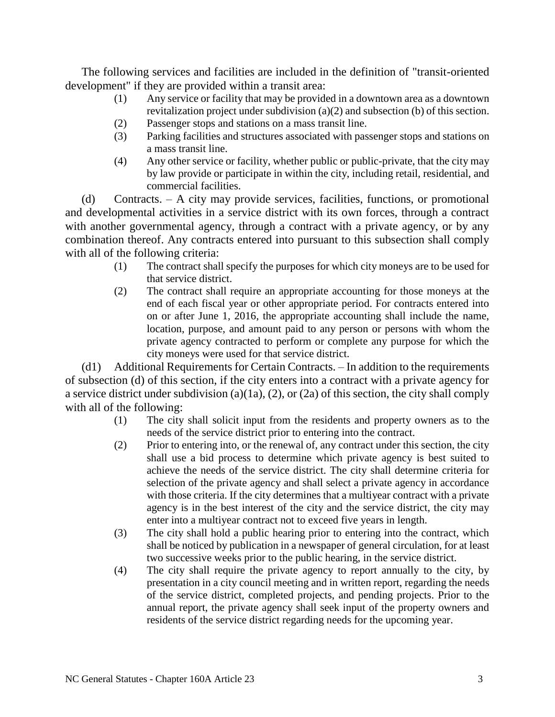The following services and facilities are included in the definition of "transit-oriented development" if they are provided within a transit area:

- (1) Any service or facility that may be provided in a downtown area as a downtown revitalization project under subdivision (a)(2) and subsection (b) of this section.
- (2) Passenger stops and stations on a mass transit line.
- (3) Parking facilities and structures associated with passenger stops and stations on a mass transit line.
- (4) Any other service or facility, whether public or public-private, that the city may by law provide or participate in within the city, including retail, residential, and commercial facilities.

(d) Contracts. – A city may provide services, facilities, functions, or promotional and developmental activities in a service district with its own forces, through a contract with another governmental agency, through a contract with a private agency, or by any combination thereof. Any contracts entered into pursuant to this subsection shall comply with all of the following criteria:

- (1) The contract shall specify the purposes for which city moneys are to be used for that service district.
- (2) The contract shall require an appropriate accounting for those moneys at the end of each fiscal year or other appropriate period. For contracts entered into on or after June 1, 2016, the appropriate accounting shall include the name, location, purpose, and amount paid to any person or persons with whom the private agency contracted to perform or complete any purpose for which the city moneys were used for that service district.

(d1) Additional Requirements for Certain Contracts. – In addition to the requirements of subsection (d) of this section, if the city enters into a contract with a private agency for a service district under subdivision (a)(1a), (2), or (2a) of this section, the city shall comply with all of the following:

- (1) The city shall solicit input from the residents and property owners as to the needs of the service district prior to entering into the contract.
- (2) Prior to entering into, or the renewal of, any contract under this section, the city shall use a bid process to determine which private agency is best suited to achieve the needs of the service district. The city shall determine criteria for selection of the private agency and shall select a private agency in accordance with those criteria. If the city determines that a multiyear contract with a private agency is in the best interest of the city and the service district, the city may enter into a multiyear contract not to exceed five years in length.
- (3) The city shall hold a public hearing prior to entering into the contract, which shall be noticed by publication in a newspaper of general circulation, for at least two successive weeks prior to the public hearing, in the service district.
- (4) The city shall require the private agency to report annually to the city, by presentation in a city council meeting and in written report, regarding the needs of the service district, completed projects, and pending projects. Prior to the annual report, the private agency shall seek input of the property owners and residents of the service district regarding needs for the upcoming year.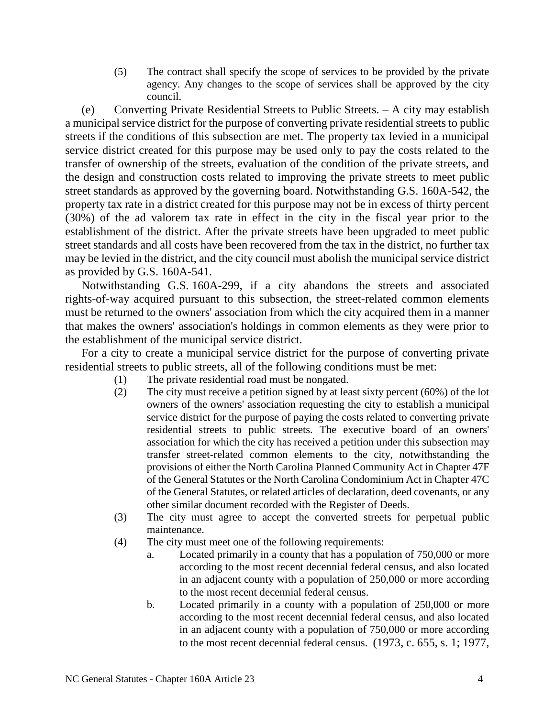(5) The contract shall specify the scope of services to be provided by the private agency. Any changes to the scope of services shall be approved by the city council.

(e) Converting Private Residential Streets to Public Streets. – A city may establish a municipal service district for the purpose of converting private residential streets to public streets if the conditions of this subsection are met. The property tax levied in a municipal service district created for this purpose may be used only to pay the costs related to the transfer of ownership of the streets, evaluation of the condition of the private streets, and the design and construction costs related to improving the private streets to meet public street standards as approved by the governing board. Notwithstanding G.S. 160A-542, the property tax rate in a district created for this purpose may not be in excess of thirty percent (30%) of the ad valorem tax rate in effect in the city in the fiscal year prior to the establishment of the district. After the private streets have been upgraded to meet public street standards and all costs have been recovered from the tax in the district, no further tax may be levied in the district, and the city council must abolish the municipal service district as provided by G.S. 160A-541.

Notwithstanding G.S. 160A-299, if a city abandons the streets and associated rights-of-way acquired pursuant to this subsection, the street-related common elements must be returned to the owners' association from which the city acquired them in a manner that makes the owners' association's holdings in common elements as they were prior to the establishment of the municipal service district.

For a city to create a municipal service district for the purpose of converting private residential streets to public streets, all of the following conditions must be met:

- (1) The private residential road must be nongated.
- (2) The city must receive a petition signed by at least sixty percent (60%) of the lot owners of the owners' association requesting the city to establish a municipal service district for the purpose of paying the costs related to converting private residential streets to public streets. The executive board of an owners' association for which the city has received a petition under this subsection may transfer street-related common elements to the city, notwithstanding the provisions of either the North Carolina Planned Community Act in Chapter 47F of the General Statutes or the North Carolina Condominium Act in Chapter 47C of the General Statutes, or related articles of declaration, deed covenants, or any other similar document recorded with the Register of Deeds.
- (3) The city must agree to accept the converted streets for perpetual public maintenance.
- (4) The city must meet one of the following requirements:
	- a. Located primarily in a county that has a population of 750,000 or more according to the most recent decennial federal census, and also located in an adjacent county with a population of 250,000 or more according to the most recent decennial federal census.
	- b. Located primarily in a county with a population of 250,000 or more according to the most recent decennial federal census, and also located in an adjacent county with a population of 750,000 or more according to the most recent decennial federal census. (1973, c. 655, s. 1; 1977,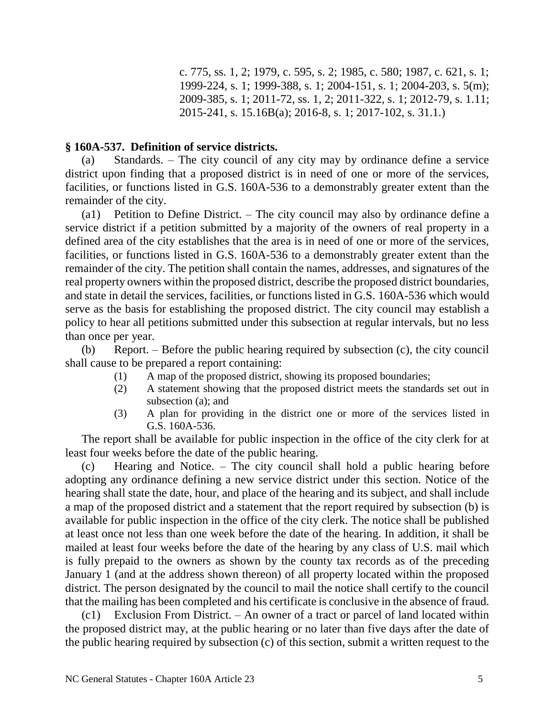c. 775, ss. 1, 2; 1979, c. 595, s. 2; 1985, c. 580; 1987, c. 621, s. 1; 1999-224, s. 1; 1999-388, s. 1; 2004-151, s. 1; 2004-203, s. 5(m); 2009-385, s. 1; 2011-72, ss. 1, 2; 2011-322, s. 1; 2012-79, s. 1.11; 2015-241, s. 15.16B(a); 2016-8, s. 1; 2017-102, s. 31.1.)

## **§ 160A-537. Definition of service districts.**

(a) Standards. – The city council of any city may by ordinance define a service district upon finding that a proposed district is in need of one or more of the services, facilities, or functions listed in G.S. 160A-536 to a demonstrably greater extent than the remainder of the city.

(a1) Petition to Define District. – The city council may also by ordinance define a service district if a petition submitted by a majority of the owners of real property in a defined area of the city establishes that the area is in need of one or more of the services, facilities, or functions listed in G.S. 160A-536 to a demonstrably greater extent than the remainder of the city. The petition shall contain the names, addresses, and signatures of the real property owners within the proposed district, describe the proposed district boundaries, and state in detail the services, facilities, or functions listed in G.S. 160A-536 which would serve as the basis for establishing the proposed district. The city council may establish a policy to hear all petitions submitted under this subsection at regular intervals, but no less than once per year.

(b) Report. – Before the public hearing required by subsection (c), the city council shall cause to be prepared a report containing:

- (1) A map of the proposed district, showing its proposed boundaries;
- (2) A statement showing that the proposed district meets the standards set out in subsection (a); and
- (3) A plan for providing in the district one or more of the services listed in G.S. 160A-536.

The report shall be available for public inspection in the office of the city clerk for at least four weeks before the date of the public hearing.

(c) Hearing and Notice. – The city council shall hold a public hearing before adopting any ordinance defining a new service district under this section. Notice of the hearing shall state the date, hour, and place of the hearing and its subject, and shall include a map of the proposed district and a statement that the report required by subsection (b) is available for public inspection in the office of the city clerk. The notice shall be published at least once not less than one week before the date of the hearing. In addition, it shall be mailed at least four weeks before the date of the hearing by any class of U.S. mail which is fully prepaid to the owners as shown by the county tax records as of the preceding January 1 (and at the address shown thereon) of all property located within the proposed district. The person designated by the council to mail the notice shall certify to the council that the mailing has been completed and his certificate is conclusive in the absence of fraud.

(c1) Exclusion From District. – An owner of a tract or parcel of land located within the proposed district may, at the public hearing or no later than five days after the date of the public hearing required by subsection (c) of this section, submit a written request to the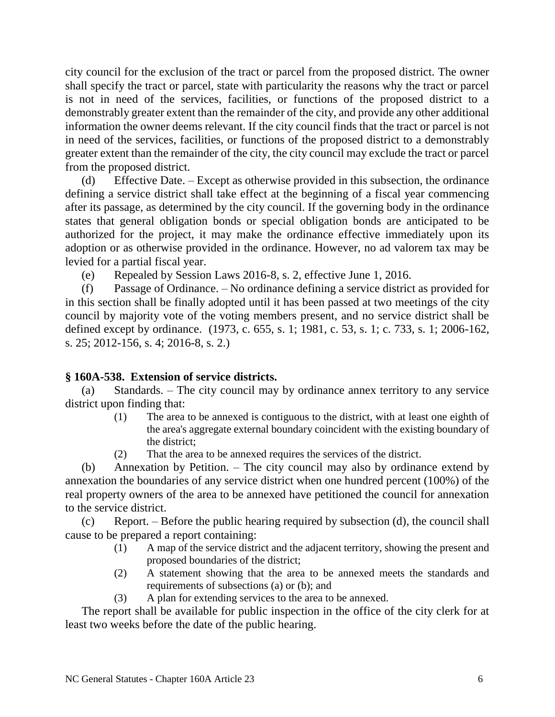city council for the exclusion of the tract or parcel from the proposed district. The owner shall specify the tract or parcel, state with particularity the reasons why the tract or parcel is not in need of the services, facilities, or functions of the proposed district to a demonstrably greater extent than the remainder of the city, and provide any other additional information the owner deems relevant. If the city council finds that the tract or parcel is not in need of the services, facilities, or functions of the proposed district to a demonstrably greater extent than the remainder of the city, the city council may exclude the tract or parcel from the proposed district.

(d) Effective Date. – Except as otherwise provided in this subsection, the ordinance defining a service district shall take effect at the beginning of a fiscal year commencing after its passage, as determined by the city council. If the governing body in the ordinance states that general obligation bonds or special obligation bonds are anticipated to be authorized for the project, it may make the ordinance effective immediately upon its adoption or as otherwise provided in the ordinance. However, no ad valorem tax may be levied for a partial fiscal year.

(e) Repealed by Session Laws 2016-8, s. 2, effective June 1, 2016.

(f) Passage of Ordinance. – No ordinance defining a service district as provided for in this section shall be finally adopted until it has been passed at two meetings of the city council by majority vote of the voting members present, and no service district shall be defined except by ordinance. (1973, c. 655, s. 1; 1981, c. 53, s. 1; c. 733, s. 1; 2006-162, s. 25; 2012-156, s. 4; 2016-8, s. 2.)

# **§ 160A-538. Extension of service districts.**

(a) Standards. – The city council may by ordinance annex territory to any service district upon finding that:

- (1) The area to be annexed is contiguous to the district, with at least one eighth of the area's aggregate external boundary coincident with the existing boundary of the district;
- (2) That the area to be annexed requires the services of the district.

(b) Annexation by Petition. – The city council may also by ordinance extend by annexation the boundaries of any service district when one hundred percent (100%) of the real property owners of the area to be annexed have petitioned the council for annexation to the service district.

(c) Report. – Before the public hearing required by subsection (d), the council shall cause to be prepared a report containing:

- (1) A map of the service district and the adjacent territory, showing the present and proposed boundaries of the district;
- (2) A statement showing that the area to be annexed meets the standards and requirements of subsections (a) or (b); and
- (3) A plan for extending services to the area to be annexed.

The report shall be available for public inspection in the office of the city clerk for at least two weeks before the date of the public hearing.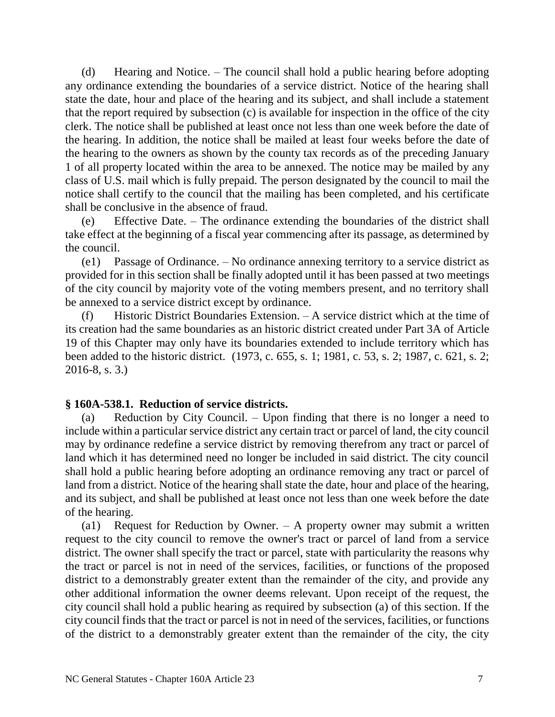(d) Hearing and Notice. – The council shall hold a public hearing before adopting any ordinance extending the boundaries of a service district. Notice of the hearing shall state the date, hour and place of the hearing and its subject, and shall include a statement that the report required by subsection (c) is available for inspection in the office of the city clerk. The notice shall be published at least once not less than one week before the date of the hearing. In addition, the notice shall be mailed at least four weeks before the date of the hearing to the owners as shown by the county tax records as of the preceding January 1 of all property located within the area to be annexed. The notice may be mailed by any class of U.S. mail which is fully prepaid. The person designated by the council to mail the notice shall certify to the council that the mailing has been completed, and his certificate shall be conclusive in the absence of fraud.

(e) Effective Date. – The ordinance extending the boundaries of the district shall take effect at the beginning of a fiscal year commencing after its passage, as determined by the council.

(e1) Passage of Ordinance. – No ordinance annexing territory to a service district as provided for in this section shall be finally adopted until it has been passed at two meetings of the city council by majority vote of the voting members present, and no territory shall be annexed to a service district except by ordinance.

(f) Historic District Boundaries Extension. – A service district which at the time of its creation had the same boundaries as an historic district created under Part 3A of Article 19 of this Chapter may only have its boundaries extended to include territory which has been added to the historic district. (1973, c. 655, s. 1; 1981, c. 53, s. 2; 1987, c. 621, s. 2; 2016-8, s. 3.)

# **§ 160A-538.1. Reduction of service districts.**

(a) Reduction by City Council. – Upon finding that there is no longer a need to include within a particular service district any certain tract or parcel of land, the city council may by ordinance redefine a service district by removing therefrom any tract or parcel of land which it has determined need no longer be included in said district. The city council shall hold a public hearing before adopting an ordinance removing any tract or parcel of land from a district. Notice of the hearing shall state the date, hour and place of the hearing, and its subject, and shall be published at least once not less than one week before the date of the hearing.

(a1) Request for Reduction by Owner. – A property owner may submit a written request to the city council to remove the owner's tract or parcel of land from a service district. The owner shall specify the tract or parcel, state with particularity the reasons why the tract or parcel is not in need of the services, facilities, or functions of the proposed district to a demonstrably greater extent than the remainder of the city, and provide any other additional information the owner deems relevant. Upon receipt of the request, the city council shall hold a public hearing as required by subsection (a) of this section. If the city council finds that the tract or parcel is not in need of the services, facilities, or functions of the district to a demonstrably greater extent than the remainder of the city, the city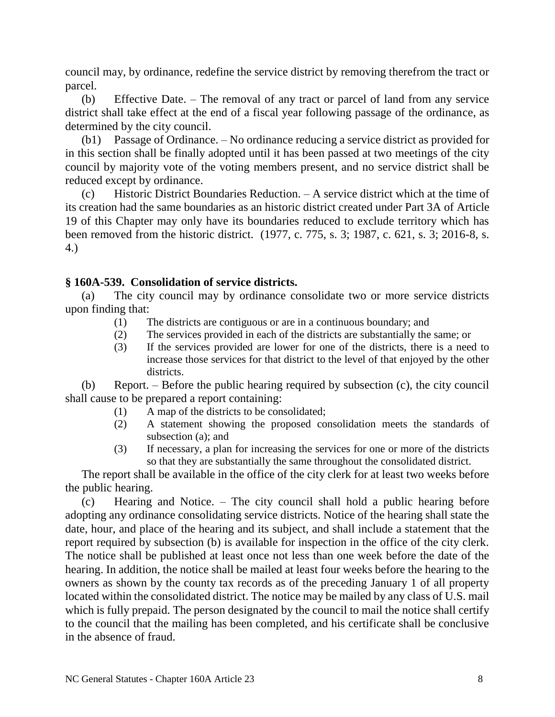council may, by ordinance, redefine the service district by removing therefrom the tract or parcel.

(b) Effective Date. – The removal of any tract or parcel of land from any service district shall take effect at the end of a fiscal year following passage of the ordinance, as determined by the city council.

(b1) Passage of Ordinance. – No ordinance reducing a service district as provided for in this section shall be finally adopted until it has been passed at two meetings of the city council by majority vote of the voting members present, and no service district shall be reduced except by ordinance.

(c) Historic District Boundaries Reduction. – A service district which at the time of its creation had the same boundaries as an historic district created under Part 3A of Article 19 of this Chapter may only have its boundaries reduced to exclude territory which has been removed from the historic district. (1977, c. 775, s. 3; 1987, c. 621, s. 3; 2016-8, s. 4.)

# **§ 160A-539. Consolidation of service districts.**

(a) The city council may by ordinance consolidate two or more service districts upon finding that:

- (1) The districts are contiguous or are in a continuous boundary; and
- (2) The services provided in each of the districts are substantially the same; or
- (3) If the services provided are lower for one of the districts, there is a need to increase those services for that district to the level of that enjoyed by the other districts.

(b) Report. – Before the public hearing required by subsection (c), the city council shall cause to be prepared a report containing:

- (1) A map of the districts to be consolidated;
- (2) A statement showing the proposed consolidation meets the standards of subsection (a); and
- (3) If necessary, a plan for increasing the services for one or more of the districts so that they are substantially the same throughout the consolidated district.

The report shall be available in the office of the city clerk for at least two weeks before the public hearing.

(c) Hearing and Notice. – The city council shall hold a public hearing before adopting any ordinance consolidating service districts. Notice of the hearing shall state the date, hour, and place of the hearing and its subject, and shall include a statement that the report required by subsection (b) is available for inspection in the office of the city clerk. The notice shall be published at least once not less than one week before the date of the hearing. In addition, the notice shall be mailed at least four weeks before the hearing to the owners as shown by the county tax records as of the preceding January 1 of all property located within the consolidated district. The notice may be mailed by any class of U.S. mail which is fully prepaid. The person designated by the council to mail the notice shall certify to the council that the mailing has been completed, and his certificate shall be conclusive in the absence of fraud.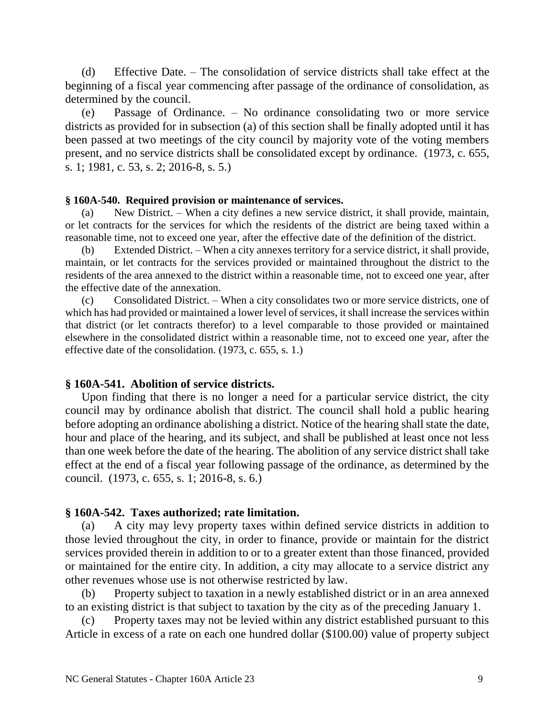(d) Effective Date. – The consolidation of service districts shall take effect at the beginning of a fiscal year commencing after passage of the ordinance of consolidation, as determined by the council.

(e) Passage of Ordinance. – No ordinance consolidating two or more service districts as provided for in subsection (a) of this section shall be finally adopted until it has been passed at two meetings of the city council by majority vote of the voting members present, and no service districts shall be consolidated except by ordinance. (1973, c. 655, s. 1; 1981, c. 53, s. 2; 2016-8, s. 5.)

## **§ 160A-540. Required provision or maintenance of services.**

(a) New District. – When a city defines a new service district, it shall provide, maintain, or let contracts for the services for which the residents of the district are being taxed within a reasonable time, not to exceed one year, after the effective date of the definition of the district.

(b) Extended District. – When a city annexes territory for a service district, it shall provide, maintain, or let contracts for the services provided or maintained throughout the district to the residents of the area annexed to the district within a reasonable time, not to exceed one year, after the effective date of the annexation.

(c) Consolidated District. – When a city consolidates two or more service districts, one of which has had provided or maintained a lower level of services, it shall increase the services within that district (or let contracts therefor) to a level comparable to those provided or maintained elsewhere in the consolidated district within a reasonable time, not to exceed one year, after the effective date of the consolidation. (1973, c. 655, s. 1.)

# **§ 160A-541. Abolition of service districts.**

Upon finding that there is no longer a need for a particular service district, the city council may by ordinance abolish that district. The council shall hold a public hearing before adopting an ordinance abolishing a district. Notice of the hearing shall state the date, hour and place of the hearing, and its subject, and shall be published at least once not less than one week before the date of the hearing. The abolition of any service district shall take effect at the end of a fiscal year following passage of the ordinance, as determined by the council. (1973, c. 655, s. 1; 2016-8, s. 6.)

# **§ 160A-542. Taxes authorized; rate limitation.**

(a) A city may levy property taxes within defined service districts in addition to those levied throughout the city, in order to finance, provide or maintain for the district services provided therein in addition to or to a greater extent than those financed, provided or maintained for the entire city. In addition, a city may allocate to a service district any other revenues whose use is not otherwise restricted by law.

(b) Property subject to taxation in a newly established district or in an area annexed to an existing district is that subject to taxation by the city as of the preceding January 1.

(c) Property taxes may not be levied within any district established pursuant to this Article in excess of a rate on each one hundred dollar (\$100.00) value of property subject